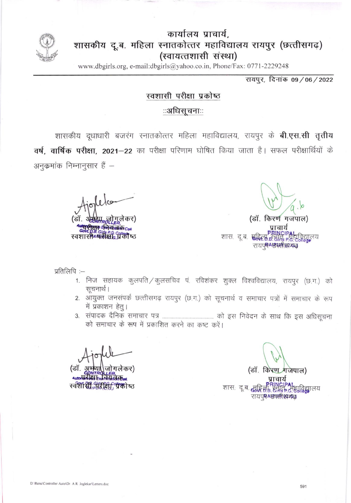

## कार्यालय प्राचार्य. शासकीय दू.ब. महिला स्नातकोत्तर महाविद्यालय रायपुर (छत्तीसगढ़) (स्वायत्तशासी संस्था)

www.dbgirls.org, e-mail:dbgirls@yahoo.co.in, Phone/Fax: 0771-2229248

रायपुर, दिनांक 09/06/2022

## स्वशासी परीक्षा प्रकोष्ठ

## ःअधिसूचनाःः

शासकीय दूधाधारी बजरंग स्नातकोत्तर महिला महाविद्यालय, रायपुर के **बी.एस.सी तृतीय** वर्ष, वार्षिक परीक्षा, 2021-22 का परीक्षा परिणाम घोषित किया जाता है। सफल परीक्षार्थियों के अनुकमांक निम्नानुसार हैं –

स्वशासी अक्सेक्ष प्रक्री ष्ठ

(डॉ. किरण गजपाल) शास. दू.ब. **सु D.B. Girls P.** रायप्रमे<del>8एती सम्बद्ध</del>

प्रतिलिपि :-

- 1. निज सहायक कुलपति / कुलसचिव पं. रविशंकर शुक्ल विश्वविद्यालय, रायपुर (छ.ग.) को सूचनार्थ।
- 2. आयुक्त जनसंपर्क छत्तीसगढ़ रायपुर (छ.ग.) को सूचनार्थ व समाचार पत्रों में समाचार के रूप में प्रकाशन हेतू।
- को समाचार के रूप में प्रकाशित करने का कष्ट करें।

(डॉ जोगलेकर) स्वशासी, परीक्षा "पैको ष्ठ

(डॉ. किरण गजेपाल)

शास: दू.ब. सुद्धि <u>महाविद्या</u>लय रायप्र**म् Aष्ठा स्त्री (काफ्तु**